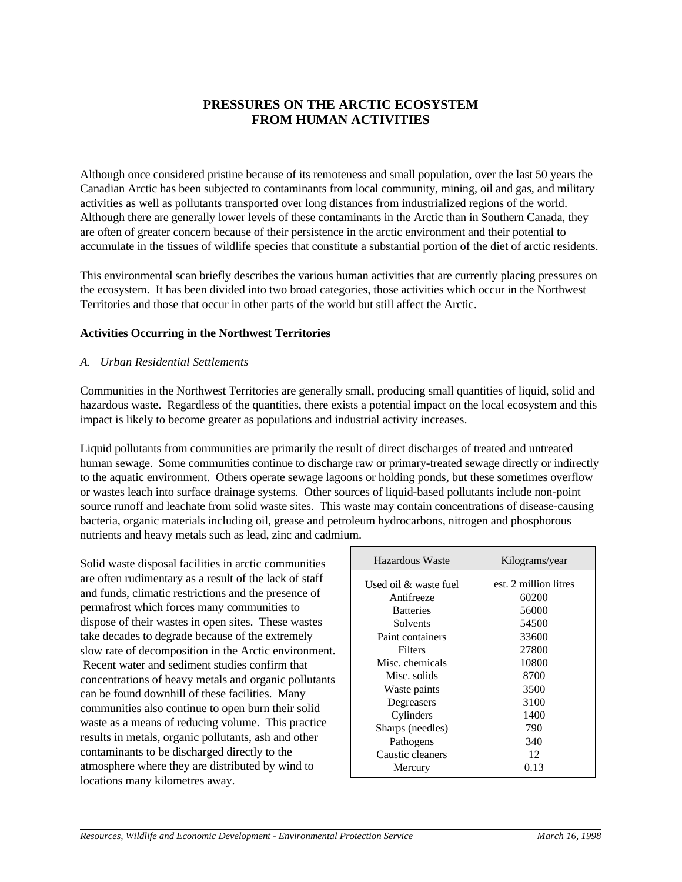# **PRESSURES ON THE ARCTIC ECOSYSTEM FROM HUMAN ACTIVITIES**

Although once considered pristine because of its remoteness and small population, over the last 50 years the Canadian Arctic has been subjected to contaminants from local community, mining, oil and gas, and military activities as well as pollutants transported over long distances from industrialized regions of the world. Although there are generally lower levels of these contaminants in the Arctic than in Southern Canada, they are often of greater concern because of their persistence in the arctic environment and their potential to accumulate in the tissues of wildlife species that constitute a substantial portion of the diet of arctic residents.

This environmental scan briefly describes the various human activities that are currently placing pressures on the ecosystem. It has been divided into two broad categories, those activities which occur in the Northwest Territories and those that occur in other parts of the world but still affect the Arctic.

### **Activities Occurring in the Northwest Territories**

### *A. Urban Residential Settlements*

Communities in the Northwest Territories are generally small, producing small quantities of liquid, solid and hazardous waste. Regardless of the quantities, there exists a potential impact on the local ecosystem and this impact is likely to become greater as populations and industrial activity increases.

Liquid pollutants from communities are primarily the result of direct discharges of treated and untreated human sewage. Some communities continue to discharge raw or primary-treated sewage directly or indirectly to the aquatic environment. Others operate sewage lagoons or holding ponds, but these sometimes overflow or wastes leach into surface drainage systems. Other sources of liquid-based pollutants include non-point source runoff and leachate from solid waste sites. This waste may contain concentrations of disease-causing bacteria, organic materials including oil, grease and petroleum hydrocarbons, nitrogen and phosphorous nutrients and heavy metals such as lead, zinc and cadmium.

Solid waste disposal facilities in arctic communities are often rudimentary as a result of the lack of staff and funds, climatic restrictions and the presence of permafrost which forces many communities to dispose of their wastes in open sites. These wastes take decades to degrade because of the extremely slow rate of decomposition in the Arctic environment. Recent water and sediment studies confirm that concentrations of heavy metals and organic pollutants can be found downhill of these facilities. Many communities also continue to open burn their solid waste as a means of reducing volume. This practice results in metals, organic pollutants, ash and other contaminants to be discharged directly to the atmosphere where they are distributed by wind to locations many kilometres away.

| Hazardous Waste       | Kilograms/year        |
|-----------------------|-----------------------|
| Used oil & waste fuel | est. 2 million litres |
| Antifreeze            | 60200                 |
| <b>Batteries</b>      | 56000                 |
| Solvents              | 54500                 |
| Paint containers      | 33600                 |
| <b>Filters</b>        | 27800                 |
| Misc. chemicals       | 10800                 |
| Misc. solids          | 8700                  |
| Waste paints          | 3500                  |
| Degreasers            | 3100                  |
| Cylinders             | 1400                  |
| Sharps (needles)      | 790                   |
| Pathogens             | 340                   |
| Caustic cleaners      | 12                    |
| Mercury               | 0.13                  |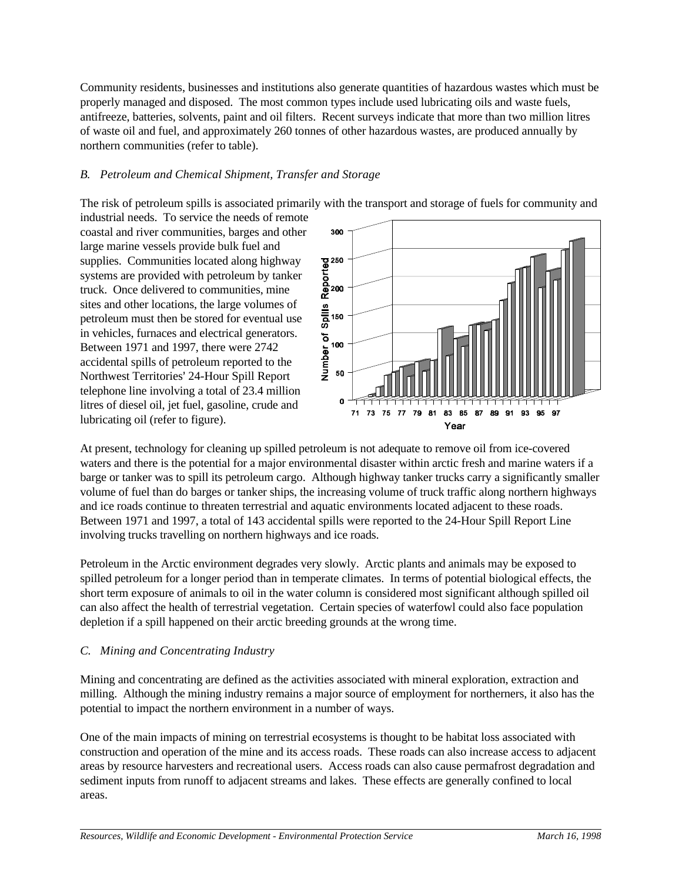Community residents, businesses and institutions also generate quantities of hazardous wastes which must be properly managed and disposed. The most common types include used lubricating oils and waste fuels, antifreeze, batteries, solvents, paint and oil filters. Recent surveys indicate that more than two million litres of waste oil and fuel, and approximately 260 tonnes of other hazardous wastes, are produced annually by northern communities (refer to table).

### *B. Petroleum and Chemical Shipment, Transfer and Storage*

The risk of petroleum spills is associated primarily with the transport and storage of fuels for community and

industrial needs. To service the needs of remote coastal and river communities, barges and other large marine vessels provide bulk fuel and supplies. Communities located along highway systems are provided with petroleum by tanker truck. Once delivered to communities, mine sites and other locations, the large volumes of petroleum must then be stored for eventual use in vehicles, furnaces and electrical generators. Between 1971 and 1997, there were 2742 accidental spills of petroleum reported to the Northwest Territories' 24-Hour Spill Report telephone line involving a total of 23.4 million litres of diesel oil, jet fuel, gasoline, crude and lubricating oil (refer to figure).



At present, technology for cleaning up spilled petroleum is not adequate to remove oil from ice-covered waters and there is the potential for a major environmental disaster within arctic fresh and marine waters if a barge or tanker was to spill its petroleum cargo. Although highway tanker trucks carry a significantly smaller volume of fuel than do barges or tanker ships, the increasing volume of truck traffic along northern highways and ice roads continue to threaten terrestrial and aquatic environments located adjacent to these roads. Between 1971 and 1997, a total of 143 accidental spills were reported to the 24-Hour Spill Report Line involving trucks travelling on northern highways and ice roads.

Petroleum in the Arctic environment degrades very slowly. Arctic plants and animals may be exposed to spilled petroleum for a longer period than in temperate climates. In terms of potential biological effects, the short term exposure of animals to oil in the water column is considered most significant although spilled oil can also affect the health of terrestrial vegetation. Certain species of waterfowl could also face population depletion if a spill happened on their arctic breeding grounds at the wrong time.

#### *C. Mining and Concentrating Industry*

Mining and concentrating are defined as the activities associated with mineral exploration, extraction and milling. Although the mining industry remains a major source of employment for northerners, it also has the potential to impact the northern environment in a number of ways.

One of the main impacts of mining on terrestrial ecosystems is thought to be habitat loss associated with construction and operation of the mine and its access roads. These roads can also increase access to adjacent areas by resource harvesters and recreational users. Access roads can also cause permafrost degradation and sediment inputs from runoff to adjacent streams and lakes. These effects are generally confined to local areas.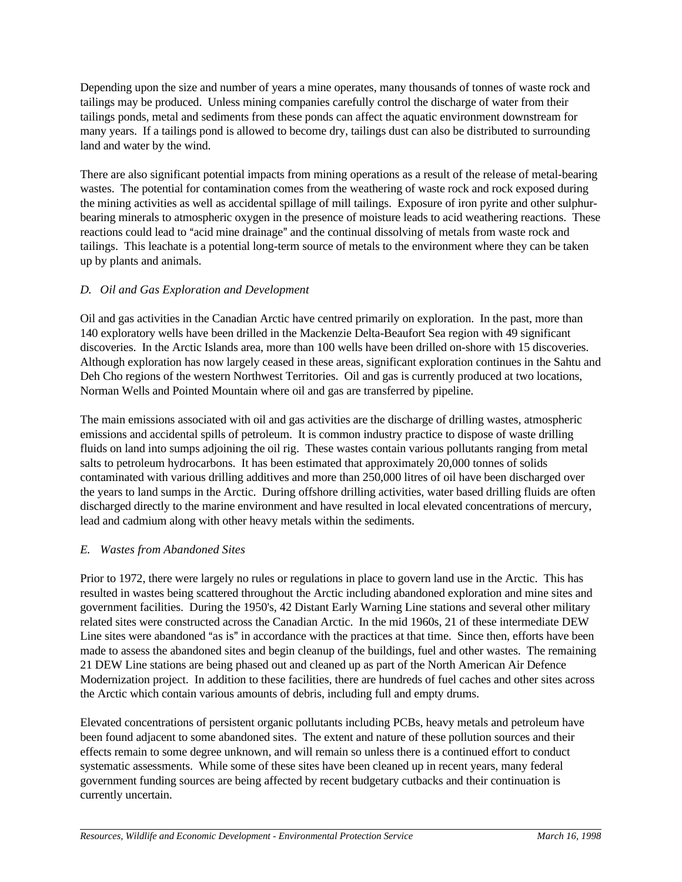Depending upon the size and number of years a mine operates, many thousands of tonnes of waste rock and tailings may be produced. Unless mining companies carefully control the discharge of water from their tailings ponds, metal and sediments from these ponds can affect the aquatic environment downstream for many years. If a tailings pond is allowed to become dry, tailings dust can also be distributed to surrounding land and water by the wind.

There are also significant potential impacts from mining operations as a result of the release of metal-bearing wastes. The potential for contamination comes from the weathering of waste rock and rock exposed during the mining activities as well as accidental spillage of mill tailings. Exposure of iron pyrite and other sulphurbearing minerals to atmospheric oxygen in the presence of moisture leads to acid weathering reactions. These reactions could lead to "acid mine drainage" and the continual dissolving of metals from waste rock and tailings. This leachate is a potential long-term source of metals to the environment where they can be taken up by plants and animals.

# *D. Oil and Gas Exploration and Development*

Oil and gas activities in the Canadian Arctic have centred primarily on exploration. In the past, more than 140 exploratory wells have been drilled in the Mackenzie Delta-Beaufort Sea region with 49 significant discoveries. In the Arctic Islands area, more than 100 wells have been drilled on-shore with 15 discoveries. Although exploration has now largely ceased in these areas, significant exploration continues in the Sahtu and Deh Cho regions of the western Northwest Territories. Oil and gas is currently produced at two locations, Norman Wells and Pointed Mountain where oil and gas are transferred by pipeline.

The main emissions associated with oil and gas activities are the discharge of drilling wastes, atmospheric emissions and accidental spills of petroleum. It is common industry practice to dispose of waste drilling fluids on land into sumps adjoining the oil rig. These wastes contain various pollutants ranging from metal salts to petroleum hydrocarbons. It has been estimated that approximately 20,000 tonnes of solids contaminated with various drilling additives and more than 250,000 litres of oil have been discharged over the years to land sumps in the Arctic. During offshore drilling activities, water based drilling fluids are often discharged directly to the marine environment and have resulted in local elevated concentrations of mercury, lead and cadmium along with other heavy metals within the sediments.

# *E. Wastes from Abandoned Sites*

Prior to 1972, there were largely no rules or regulations in place to govern land use in the Arctic. This has resulted in wastes being scattered throughout the Arctic including abandoned exploration and mine sites and government facilities. During the 1950's, 42 Distant Early Warning Line stations and several other military related sites were constructed across the Canadian Arctic. In the mid 1960s, 21 of these intermediate DEW Line sites were abandoned "as is" in accordance with the practices at that time. Since then, efforts have been made to assess the abandoned sites and begin cleanup of the buildings, fuel and other wastes. The remaining 21 DEW Line stations are being phased out and cleaned up as part of the North American Air Defence Modernization project. In addition to these facilities, there are hundreds of fuel caches and other sites across the Arctic which contain various amounts of debris, including full and empty drums.

Elevated concentrations of persistent organic pollutants including PCBs, heavy metals and petroleum have been found adjacent to some abandoned sites. The extent and nature of these pollution sources and their effects remain to some degree unknown, and will remain so unless there is a continued effort to conduct systematic assessments. While some of these sites have been cleaned up in recent years, many federal government funding sources are being affected by recent budgetary cutbacks and their continuation is currently uncertain.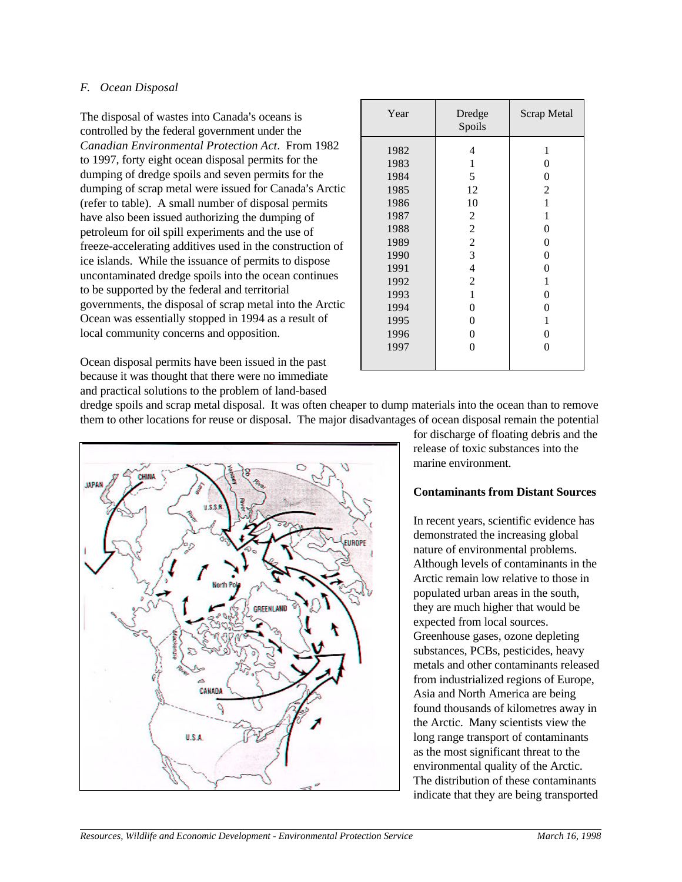### *F. Ocean Disposal*

The disposal of wastes into Canada's oceans is controlled by the federal government under the *Canadian Environmental Protection Act*. From 1982 to 1997, forty eight ocean disposal permits for the dumping of dredge spoils and seven permits for the dumping of scrap metal were issued for Canada's Arctic (refer to table). A small number of disposal permits have also been issued authorizing the dumping of petroleum for oil spill experiments and the use of freeze-accelerating additives used in the construction of ice islands. While the issuance of permits to dispose uncontaminated dredge spoils into the ocean continues to be supported by the federal and territorial governments, the disposal of scrap metal into the Arctic Ocean was essentially stopped in 1994 as a result of local community concerns and opposition.

| Year | Dredge<br>Spoils | Scrap Metal    |
|------|------------------|----------------|
| 1982 | 4                | 1              |
| 1983 | 1                | $\overline{0}$ |
| 1984 | 5                | 0              |
| 1985 | 12               | $\overline{2}$ |
| 1986 | 10               | 1              |
| 1987 | 2                | 1              |
| 1988 | $\overline{c}$   | 0              |
| 1989 | $\overline{c}$   | $\overline{0}$ |
| 1990 | 3                | 0              |
| 1991 | 4                | 0              |
| 1992 | 2                | 1              |
| 1993 | $\mathbf{1}$     | 0              |
| 1994 | 0                | 0              |
| 1995 | 0                | 1              |
| 1996 | 0                | $\theta$       |
| 1997 | 0                | 0              |
|      |                  |                |

Ocean disposal permits have been issued in the past because it was thought that there were no immediate and practical solutions to the problem of land-based

dredge spoils and scrap metal disposal. It was often cheaper to dump materials into the ocean than to remove them to other locations for reuse or disposal. The major disadvantages of ocean disposal remain the potential



for discharge of floating debris and the release of toxic substances into the marine environment.

#### **Contaminants from Distant Sources**

In recent years, scientific evidence has demonstrated the increasing global nature of environmental problems. Although levels of contaminants in the Arctic remain low relative to those in populated urban areas in the south, they are much higher that would be expected from local sources. Greenhouse gases, ozone depleting substances, PCBs, pesticides, heavy metals and other contaminants released from industrialized regions of Europe, Asia and North America are being found thousands of kilometres away in the Arctic. Many scientists view the long range transport of contaminants as the most significant threat to the environmental quality of the Arctic. The distribution of these contaminants indicate that they are being transported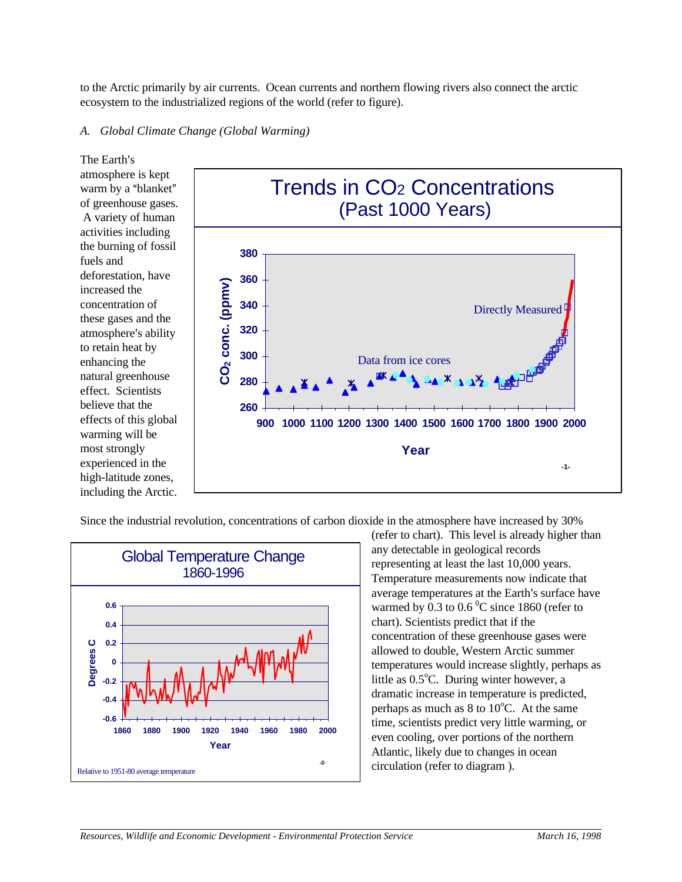to the Arctic primarily by air currents. Ocean currents and northern flowing rivers also connect the arctic ecosystem to the industrialized regions of the world (refer to figure).

#### *A. Global Climate Change (Global Warming)*

The Earth's atmosphere is kept warm by a "blanket" of greenhouse gases. A variety of human activities including the burning of fossil fuels and deforestation, have increased the concentration of these gases and the atmosphere's ability to retain heat by enhancing the natural greenhouse effect. Scientists believe that the effects of this global warming will be most strongly experienced in the high-latitude zones, including the Arctic.



Since the industrial revolution, concentrations of carbon dioxide in the atmosphere have increased by 30%



(refer to chart). This level is already higher than any detectable in geological records representing at least the last 10,000 years. Temperature measurements now indicate that average temperatures at the Earth's surface have warmed by 0.3 to  $0.6<sup>0</sup>C$  since 1860 (refer to chart). Scientists predict that if the concentration of these greenhouse gases were allowed to double, Western Arctic summer temperatures would increase slightly, perhaps as little as  $0.5^{\circ}$ C. During winter however, a dramatic increase in temperature is predicted, perhaps as much as  $8 \text{ to } 10^{\circ}$ C. At the same time, scientists predict very little warming, or even cooling, over portions of the northern Atlantic, likely due to changes in ocean circulation (refer to diagram ).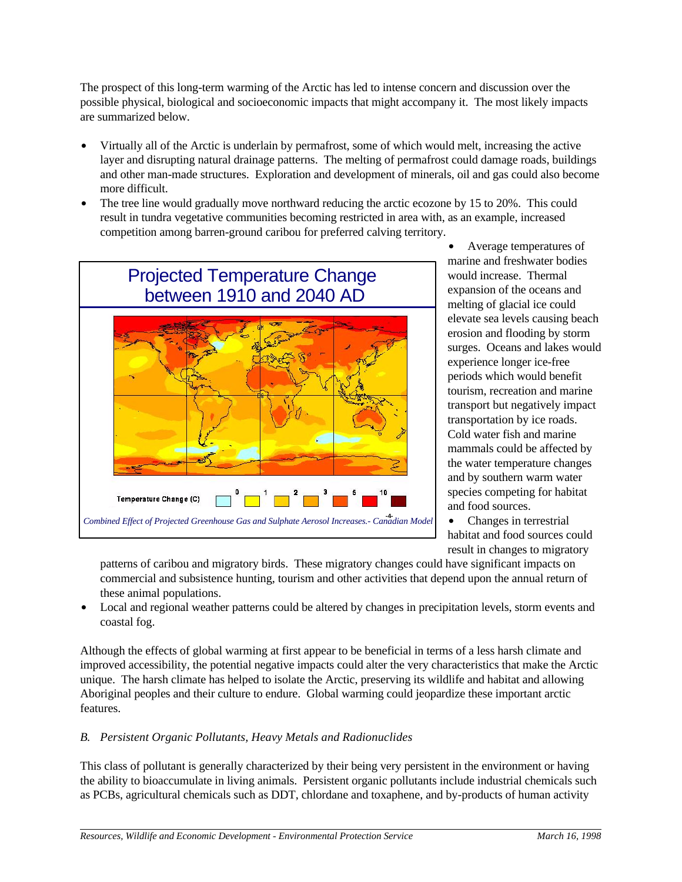The prospect of this long-term warming of the Arctic has led to intense concern and discussion over the possible physical, biological and socioeconomic impacts that might accompany it. The most likely impacts are summarized below.

- Virtually all of the Arctic is underlain by permafrost, some of which would melt, increasing the active layer and disrupting natural drainage patterns. The melting of permafrost could damage roads, buildings and other man-made structures. Exploration and development of minerals, oil and gas could also become more difficult.
- The tree line would gradually move northward reducing the arctic ecozone by 15 to 20%. This could result in tundra vegetative communities becoming restricted in area with, as an example, increased competition among barren-ground caribou for preferred calving territory.



Average temperatures of marine and freshwater bodies would increase. Thermal expansion of the oceans and melting of glacial ice could elevate sea levels causing beach erosion and flooding by storm surges. Oceans and lakes would experience longer ice-free periods which would benefit tourism, recreation and marine transport but negatively impact transportation by ice roads. Cold water fish and marine mammals could be affected by the water temperature changes and by southern warm water species competing for habitat and food sources.

 $\bullet$  Changes in terrestrial habitat and food sources could result in changes to migratory

patterns of caribou and migratory birds. These migratory changes could have significant impacts on commercial and subsistence hunting, tourism and other activities that depend upon the annual return of these animal populations.

• Local and regional weather patterns could be altered by changes in precipitation levels, storm events and coastal fog.

Although the effects of global warming at first appear to be beneficial in terms of a less harsh climate and improved accessibility, the potential negative impacts could alter the very characteristics that make the Arctic unique. The harsh climate has helped to isolate the Arctic, preserving its wildlife and habitat and allowing Aboriginal peoples and their culture to endure. Global warming could jeopardize these important arctic features.

# *B. Persistent Organic Pollutants, Heavy Metals and Radionuclides*

This class of pollutant is generally characterized by their being very persistent in the environment or having the ability to bioaccumulate in living animals. Persistent organic pollutants include industrial chemicals such as PCBs, agricultural chemicals such as DDT, chlordane and toxaphene, and by-products of human activity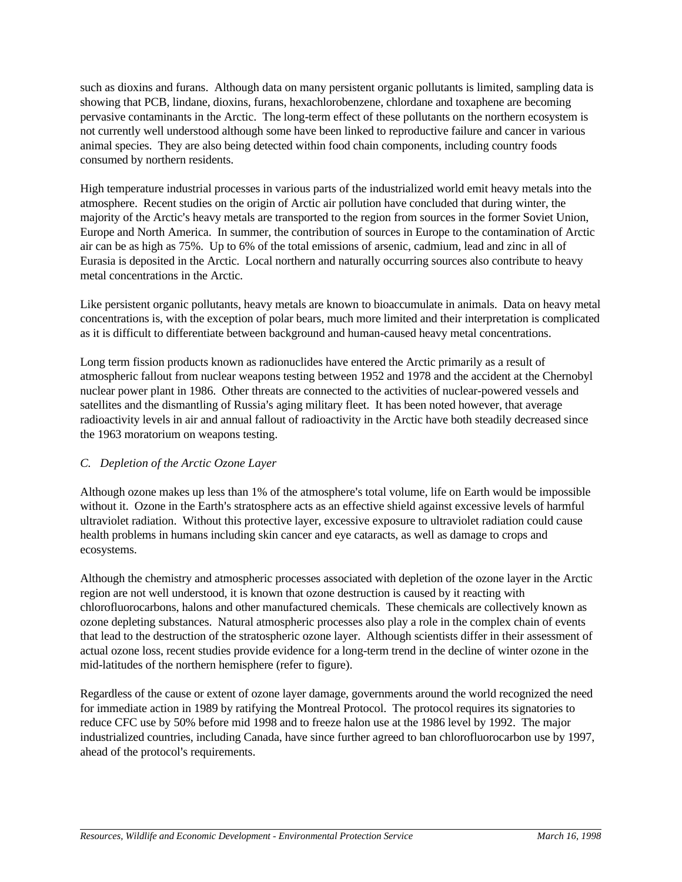such as dioxins and furans. Although data on many persistent organic pollutants is limited, sampling data is showing that PCB, lindane, dioxins, furans, hexachlorobenzene, chlordane and toxaphene are becoming pervasive contaminants in the Arctic. The long-term effect of these pollutants on the northern ecosystem is not currently well understood although some have been linked to reproductive failure and cancer in various animal species. They are also being detected within food chain components, including country foods consumed by northern residents.

High temperature industrial processes in various parts of the industrialized world emit heavy metals into the atmosphere. Recent studies on the origin of Arctic air pollution have concluded that during winter, the majority of the Arctic's heavy metals are transported to the region from sources in the former Soviet Union, Europe and North America. In summer, the contribution of sources in Europe to the contamination of Arctic air can be as high as 75%. Up to 6% of the total emissions of arsenic, cadmium, lead and zinc in all of Eurasia is deposited in the Arctic. Local northern and naturally occurring sources also contribute to heavy metal concentrations in the Arctic.

Like persistent organic pollutants, heavy metals are known to bioaccumulate in animals. Data on heavy metal concentrations is, with the exception of polar bears, much more limited and their interpretation is complicated as it is difficult to differentiate between background and human-caused heavy metal concentrations.

Long term fission products known as radionuclides have entered the Arctic primarily as a result of atmospheric fallout from nuclear weapons testing between 1952 and 1978 and the accident at the Chernobyl nuclear power plant in 1986. Other threats are connected to the activities of nuclear-powered vessels and satellites and the dismantling of Russia's aging military fleet. It has been noted however, that average radioactivity levels in air and annual fallout of radioactivity in the Arctic have both steadily decreased since the 1963 moratorium on weapons testing.

# *C. Depletion of the Arctic Ozone Layer*

Although ozone makes up less than 1% of the atmosphere's total volume, life on Earth would be impossible without it. Ozone in the Earth's stratosphere acts as an effective shield against excessive levels of harmful ultraviolet radiation. Without this protective layer, excessive exposure to ultraviolet radiation could cause health problems in humans including skin cancer and eye cataracts, as well as damage to crops and ecosystems.

Although the chemistry and atmospheric processes associated with depletion of the ozone layer in the Arctic region are not well understood, it is known that ozone destruction is caused by it reacting with chlorofluorocarbons, halons and other manufactured chemicals. These chemicals are collectively known as ozone depleting substances. Natural atmospheric processes also play a role in the complex chain of events that lead to the destruction of the stratospheric ozone layer. Although scientists differ in their assessment of actual ozone loss, recent studies provide evidence for a long-term trend in the decline of winter ozone in the mid-latitudes of the northern hemisphere (refer to figure).

Regardless of the cause or extent of ozone layer damage, governments around the world recognized the need for immediate action in 1989 by ratifying the Montreal Protocol. The protocol requires its signatories to reduce CFC use by 50% before mid 1998 and to freeze halon use at the 1986 level by 1992. The major industrialized countries, including Canada, have since further agreed to ban chlorofluorocarbon use by 1997, ahead of the protocol's requirements.